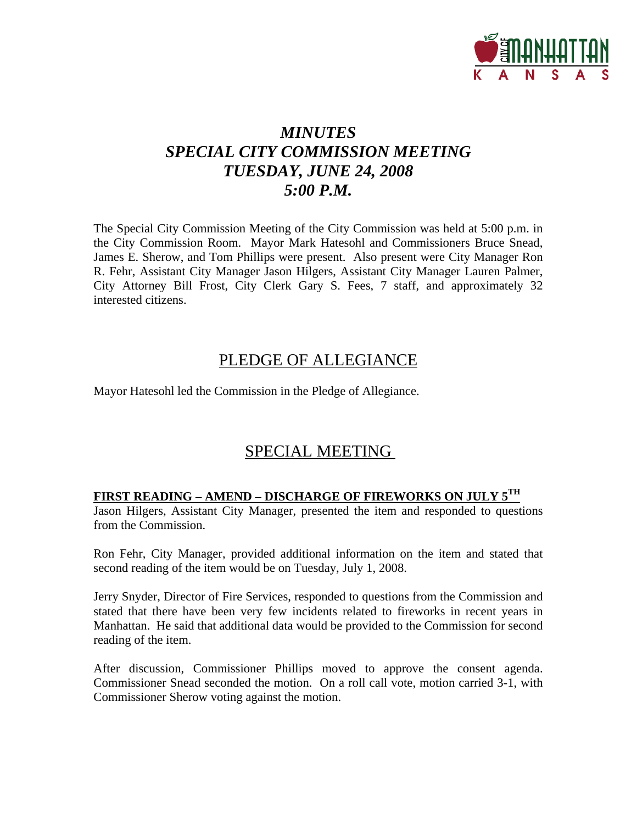

# *MINUTES SPECIAL CITY COMMISSION MEETING TUESDAY, JUNE 24, 2008 5:00 P.M.*

The Special City Commission Meeting of the City Commission was held at 5:00 p.m. in the City Commission Room. Mayor Mark Hatesohl and Commissioners Bruce Snead, James E. Sherow, and Tom Phillips were present. Also present were City Manager Ron R. Fehr, Assistant City Manager Jason Hilgers, Assistant City Manager Lauren Palmer, City Attorney Bill Frost, City Clerk Gary S. Fees, 7 staff, and approximately 32 interested citizens.

## PLEDGE OF ALLEGIANCE

Mayor Hatesohl led the Commission in the Pledge of Allegiance.

## SPECIAL MEETING

### **FIRST READING – AMEND – DISCHARGE OF FIREWORKS ON JULY 5TH**

Jason Hilgers, Assistant City Manager, presented the item and responded to questions from the Commission.

Ron Fehr, City Manager, provided additional information on the item and stated that second reading of the item would be on Tuesday, July 1, 2008.

Jerry Snyder, Director of Fire Services, responded to questions from the Commission and stated that there have been very few incidents related to fireworks in recent years in Manhattan. He said that additional data would be provided to the Commission for second reading of the item.

After discussion, Commissioner Phillips moved to approve the consent agenda. Commissioner Snead seconded the motion. On a roll call vote, motion carried 3-1, with Commissioner Sherow voting against the motion.